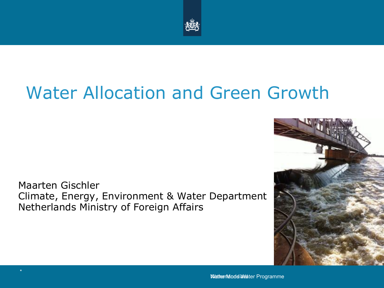

# Water Allocation and Green Growth

Maarten Gischler Climate, Energy, Environment & Water Department Netherlands Ministry of Foreign Affairs

\*

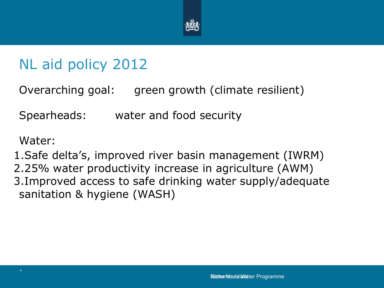

## NL aid policy 2012

Overarching goal: green growth (climate resilient)

Spearheads: water and food security

Water:

1.Safe delta's, improved river basin management (IWRM) 2.25% water productivity increase in agriculture (AWM) 3.Improved access to safe drinking water supply/adequate sanitation & hygiene (WASH)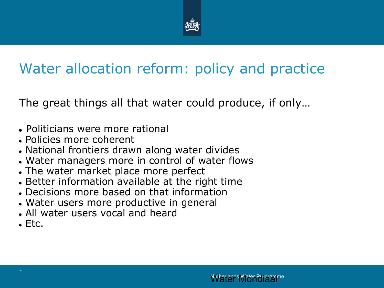

## Water allocation reform: policy and practice

The great things all that water could produce, if only…

- Politicians were more rational
- Policies more coherent
- National frontiers drawn along water divides
- Water managers more in control of water flows
- The water market place more perfect
- Better information available at the right time
- Decisions more based on that information
- Water users more productive in general
- All water users vocal and heard
- $E_{\rm F}$  Etc.

\*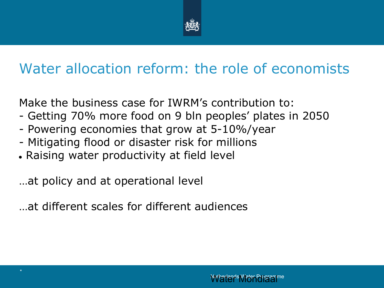

## Water allocation reform: the role of economists

Make the business case for IWRM's contribution to:

- Getting 70% more food on 9 bln peoples' plates in 2050
- Powering economies that grow at 5-10%/year
- Mitigating flood or disaster risk for millions
- Raising water productivity at field level

…at policy and at operational level

\*

…at different scales for different audiences